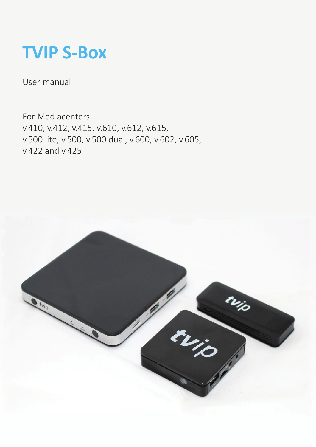# **TVIP S-Box**

User manual

For Mediacenters v.410, v.412, v.415, v.610, v.612, v.615, v.500 lite, v.500, v.500 dual, v.600, v.602, v.605, v.422 and v.425

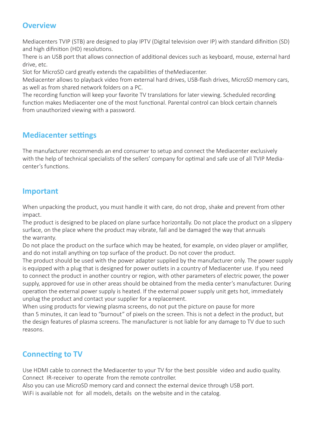### **Overview**

Mediacenters TVIP (STB) are designed to play IPTV (Digital television over IP) with standard difinition (SD) and high difinition (HD) resolutions.

There is an USB port that allows connection of additional devices such as keyboard, mouse, external hard drive, etc.

Slot for MicroSD card greatly extends the capabilities of theMediacenter.

Mediacenter allows to playback video from external hard drives, USB-flash drives, MicroSD memory cars, as well as from shared network folders on a PC.

The recording function will keep your favorite TV translations for later viewing. Scheduled recording function makes Mediacenter one of the most functional. Parental control can block certain channels from unauthorized viewing with a password.

## **Mediacenter settings**

The manufacturer recommends an end consumer to setup and connect the Mediacenter exclusively with the help of technical specialists of the sellers' company for optimal and safe use of all TVIP Mediacenter's functions.

#### **Important**

When unpacking the product, you must handle it with care, do not drop, shake and prevent from other impact.

The product is designed to be placed on plane surface horizontally. Do not place the product on a slippery surface, on the place where the product may vibrate, fall and be damaged the way that annuals the warranty.

Do not place the product on the surface which may be heated, for example, on video player or amplifier, and do not install anything on top surface of the product. Do not cover the product.

The product should be used with the power adapter supplied by the manufacturer only. The power supply is equipped with a plug that is designed for power outlets in a country of Mediacenter use. If you need to connect the product in another country or region, with other parameters of electric power, the power supply, approved for use in other areas should be obtained from the media center's manufacturer. During operation the external power supply is heated. If the external power supply unit gets hot, immediately unplug the product and contact your supplier for a replacement.

When using products for viewing plasma screens, do not put the picture on pause for more than 5 minutes, it can lead to "burnout" of pixels on the screen. This is not a defect in the product, but the design features of plasma screens. The manufacturer is not liable for any damage to TV due to such reasons.

## **Connecting to TV**

Use HDMI cable to connect the Mediacenter to your TV for the best possible video and audio quality. Connect IR-receiver to operate from the remote controller.

Also you can use MicroSD memory card and connect the external device through USB port.

WiFi is available not for all models, details on the website and in the catalog.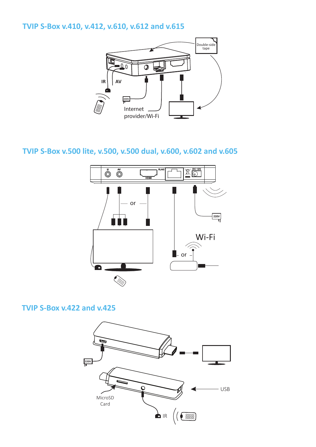## **TVIP S-Box v.410, v.412, v.610, v.612 and v.615**



## **TVIP S-Box v.500 lite, v.500, v.500 dual, v.600, v.602 and v.605**



#### **TVIP S-Box v.422 and v.425**